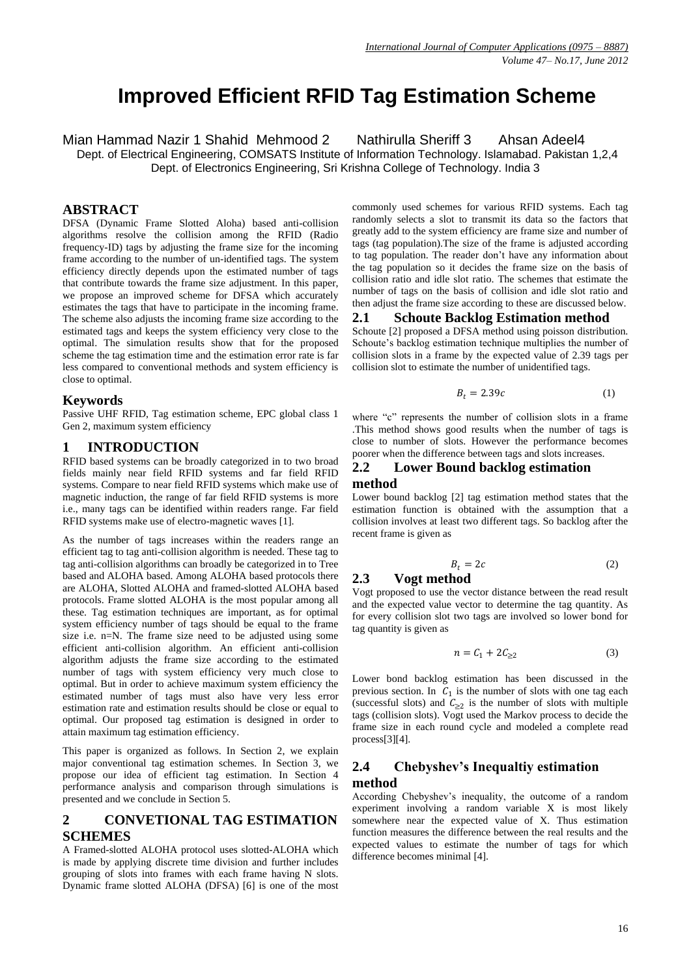# **Improved Efficient RFID Tag Estimation Scheme**

Mian Hammad Nazir 1 Shahid Mehmood 2 Nathirulla Sheriff 3 Ahsan Adeel4

Dept. of Electrical Engineering, COMSATS Institute of Information Technology. Islamabad. Pakistan 1,2,4 Dept. of Electronics Engineering, Sri Krishna College of Technology. India 3

#### **ABSTRACT**

DFSA (Dynamic Frame Slotted Aloha) based anti-collision algorithms resolve the collision among the RFID (Radio frequency-ID) tags by adjusting the frame size for the incoming frame according to the number of un-identified tags. The system efficiency directly depends upon the estimated number of tags that contribute towards the frame size adjustment. In this paper, we propose an improved scheme for DFSA which accurately estimates the tags that have to participate in the incoming frame. The scheme also adjusts the incoming frame size according to the estimated tags and keeps the system efficiency very close to the optimal. The simulation results show that for the proposed scheme the tag estimation time and the estimation error rate is far less compared to conventional methods and system efficiency is close to optimal.

#### **Keywords**

Passive UHF RFID, Tag estimation scheme, EPC global class 1 Gen 2, maximum system efficiency

## **1 INTRODUCTION**

RFID based systems can be broadly categorized in to two broad fields mainly near field RFID systems and far field RFID systems. Compare to near field RFID systems which make use of magnetic induction, the range of far field RFID systems is more i.e., many tags can be identified within readers range. Far field RFID systems make use of electro-magnetic waves [1].

As the number of tags increases within the readers range an efficient tag to tag anti-collision algorithm is needed. These tag to tag anti-collision algorithms can broadly be categorized in to Tree based and ALOHA based. Among ALOHA based protocols there are ALOHA, Slotted ALOHA and framed-slotted ALOHA based protocols. Frame slotted ALOHA is the most popular among all these. Tag estimation techniques are important, as for optimal system efficiency number of tags should be equal to the frame size i.e. n=N. The frame size need to be adjusted using some efficient anti-collision algorithm. An efficient anti-collision algorithm adjusts the frame size according to the estimated number of tags with system efficiency very much close to optimal. But in order to achieve maximum system efficiency the estimated number of tags must also have very less error estimation rate and estimation results should be close or equal to optimal. Our proposed tag estimation is designed in order to attain maximum tag estimation efficiency.

This paper is organized as follows. In Section 2, we explain major conventional tag estimation schemes. In Section 3, we propose our idea of efficient tag estimation. In Section 4 performance analysis and comparison through simulations is presented and we conclude in Section 5.

# **2 CONVETIONAL TAG ESTIMATION SCHEMES**

A Framed-slotted ALOHA protocol uses slotted-ALOHA which is made by applying discrete time division and further includes grouping of slots into frames with each frame having N slots. Dynamic frame slotted ALOHA (DFSA) [6] is one of the most

commonly used schemes for various RFID systems. Each tag randomly selects a slot to transmit its data so the factors that greatly add to the system efficiency are frame size and number of tags (tag population).The size of the frame is adjusted according to tag population. The reader don"t have any information about the tag population so it decides the frame size on the basis of collision ratio and idle slot ratio. The schemes that estimate the number of tags on the basis of collision and idle slot ratio and then adjust the frame size according to these are discussed below.

### **2.1 Schoute Backlog Estimation method**

Schoute [2] proposed a DFSA method using poisson distribution. Schoute's backlog estimation technique multiplies the number of collision slots in a frame by the expected value of 2.39 tags per collision slot to estimate the number of unidentified tags.

$$
B_t = 2.39c \tag{1}
$$

where "c" represents the number of collision slots in a frame .This method shows good results when the number of tags is close to number of slots. However the performance becomes poorer when the difference between tags and slots increases.

## **2.2 Lower Bound backlog estimation method**

Lower bound backlog [2] tag estimation method states that the estimation function is obtained with the assumption that a collision involves at least two different tags. So backlog after the recent frame is given as

$$
B_t = 2c \tag{2}
$$

# **2.3 Vogt method**

Vogt proposed to use the vector distance between the read result and the expected value vector to determine the tag quantity. As for every collision slot two tags are involved so lower bond for tag quantity is given as

$$
n = C_1 + 2C_{\geq 2} \tag{3}
$$

Lower bond backlog estimation has been discussed in the previous section. In  $C_1$  is the number of slots with one tag each (successful slots) and  $C_{\geq 2}$  is the number of slots with multiple tags (collision slots). Vogt used the Markov process to decide the frame size in each round cycle and modeled a complete read process[3][4].

## **2.4 Chebyshev's Inequaltiy estimation method**

According Chebyshev"s inequality, the outcome of a random experiment involving a random variable X is most likely somewhere near the expected value of X. Thus estimation function measures the difference between the real results and the expected values to estimate the number of tags for which difference becomes minimal [4].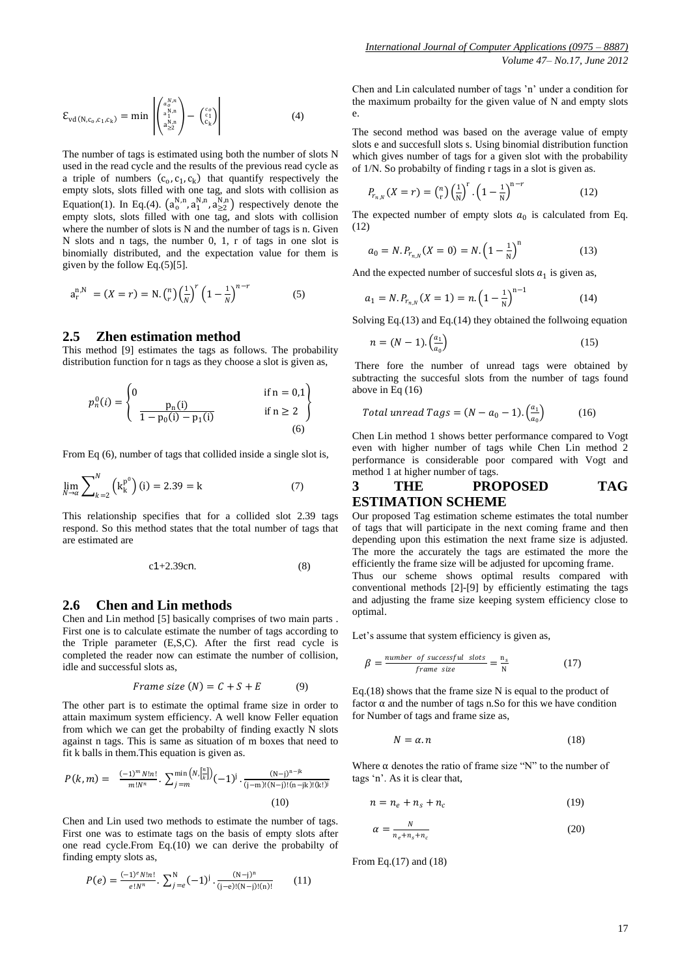$$
\mathcal{E}_{\text{vd}(\mathbf{N},\mathbf{c}_0,\mathbf{c}_1,\mathbf{c}_k)} = \min \left| \begin{pmatrix} a_0^{N,n} \\ a_1^{N,n} \\ a_2^{N,n} \\ a_2^{N,n} \end{pmatrix} - \begin{pmatrix} c_0 \\ c_1 \\ c_k \end{pmatrix} \right| \tag{4}
$$

The number of tags is estimated using both the number of slots N used in the read cycle and the results of the previous read cycle as a triple of numbers  $(c_0, c_1, c_k)$  that quantify respectively the empty slots, slots filled with one tag, and slots with collision as Equation(1). In Eq.(4).  $(a_0^{N,n}, a_1^{N,n}, a_{\geq 2}^{N,n})$  respectively denote the empty slots, slots filled with one tag, and slots with collision where the number of slots is N and the number of tags is n. Given N slots and n tags, the number 0, 1, r of tags in one slot is binomially distributed, and the expectation value for them is given by the follow Eq.(5)[5].

$$
a_r^{n,N} = (X = r) = N \cdot {n \choose r} \left(\frac{1}{N}\right)^r \left(1 - \frac{1}{N}\right)^{n-r}
$$
 (5)

## **2.5 Zhen estimation method**

This method [9] estimates the tags as follows. The probability distribution function for n tags as they choose a slot is given as,

$$
p_n^0(i) = \begin{cases} 0 & \text{if } n = 0,1 \\ \frac{p_n(i)}{1 - p_0(i) - p_1(i)} & \text{if } n \ge 2 \end{cases}
$$

From Eq (6), number of tags that collided inside a single slot is,

$$
\lim_{N \to \alpha} \sum_{k=2}^{N} \left( \mathbf{k}_{k}^{p^{0}} \right) (\mathbf{i}) = 2.39 = \mathbf{k}
$$
 (7)

This relationship specifies that for a collided slot 2.39 tags respond. So this method states that the total number of tags that are estimated are

$$
c1+2.39c n. \tag{8}
$$

#### **2.6 Chen and Lin methods**

Chen and Lin method [5] basically comprises of two main parts . First one is to calculate estimate the number of tags according to the Triple parameter (E,S,C). After the first read cycle is completed the reader now can estimate the number of collision, idle and successful slots as,

$$
Frame\ size\ (N) = C + S + E \tag{9}
$$

The other part is to estimate the optimal frame size in order to attain maximum system efficiency. A well know Feller equation from which we can get the probabilty of finding exactly N slots against n tags. This is same as situation of m boxes that need to fit k balls in them.This equation is given as.

$$
P(k,m) = \frac{(-1)^m N! n!}{m! N^n} \cdot \sum_{j=m}^{\min\left(N, \left[\frac{n}{k}\right]\right)} (-1)^j \cdot \frac{(N-j)^{n-jk}}{(j-m)!(N-j)!(n-jk)!(k!)^j}
$$
\n(10)

Chen and Lin used two methods to estimate the number of tags. First one was to estimate tags on the basis of empty slots after one read cycle.From Eq.(10) we can derive the probabilty of finding empty slots as,

$$
P(e) = \frac{(-1)^{e} N! n!}{e! N^{n}} \cdot \sum_{j=e}^{N} (-1)^{j} \cdot \frac{(N-j)^{n}}{(j-e)!(N-j)!(n)!}
$$
(11)

Chen and Lin calculated number of tags "n" under a condition for the maximum probailty for the given value of N and empty slots e.

The second method was based on the average value of empty slots e and succesfull slots s. Using binomial distribution function which gives number of tags for a given slot with the probability of 1/N. So probabilty of finding r tags in a slot is given as.

$$
P_{r_{n,N}}(X=r) = {n \choose r} \left(\frac{1}{N}\right)^r \cdot \left(1 - \frac{1}{N}\right)^{n-r}
$$
 (12)

The expected number of empty slots  $a_0$  is calculated from Eq. (12)

$$
a_0 = N.P_{r_{n,N}}(X=0) = N.\left(1 - \frac{1}{N}\right)^n\tag{13}
$$

And the expected number of succesful slots  $a_1$  is given as,

$$
a_1 = N.P_{r_{n,N}}(X=1) = n.\left(1 - \frac{1}{N}\right)^{n-1} \tag{14}
$$

Solving Eq.(13) and Eq.(14) they obtained the follwoing equation

$$
n = (N-1) \cdot \left(\frac{a_1}{a_0}\right) \tag{15}
$$

There fore the number of unread tags were obtained by subtracting the succesful slots from the number of tags found above in Eq (16)

$$
Total unread Tags = (N - a_0 - 1) \cdot \left(\frac{a_1}{a_0}\right) \tag{16}
$$

Chen Lin method 1 shows better performance compared to Vogt even with higher number of tags while Chen Lin method 2 performance is considerable poor compared with Vogt and method 1 at higher number of tags.

## **3 THE PROPOSED TAG ESTIMATION SCHEME**

Our proposed Tag estimation scheme estimates the total number of tags that will participate in the next coming frame and then depending upon this estimation the next frame size is adjusted. The more the accurately the tags are estimated the more the efficiently the frame size will be adjusted for upcoming frame. Thus our scheme shows optimal results compared with conventional methods [2]-[9] by efficiently estimating the tags and adjusting the frame size keeping system efficiency close to optimal.

Let's assume that system efficiency is given as,

$$
\beta = \frac{number \space of \space successful \space slots}{frame \space size} = \frac{n_s}{N} \tag{17}
$$

Eq.(18) shows that the frame size N is equal to the product of factor  $\alpha$  and the number of tags n.So for this we have condition for Number of tags and frame size as,

$$
N = \alpha n \tag{18}
$$

Where  $\alpha$  denotes the ratio of frame size "N" to the number of tags "n". As it is clear that,

$$
n = n_e + n_s + n_c \tag{19}
$$

$$
\alpha = \frac{N}{n_e + n_s + n_c} \tag{20}
$$

From Eq.(17) and (18)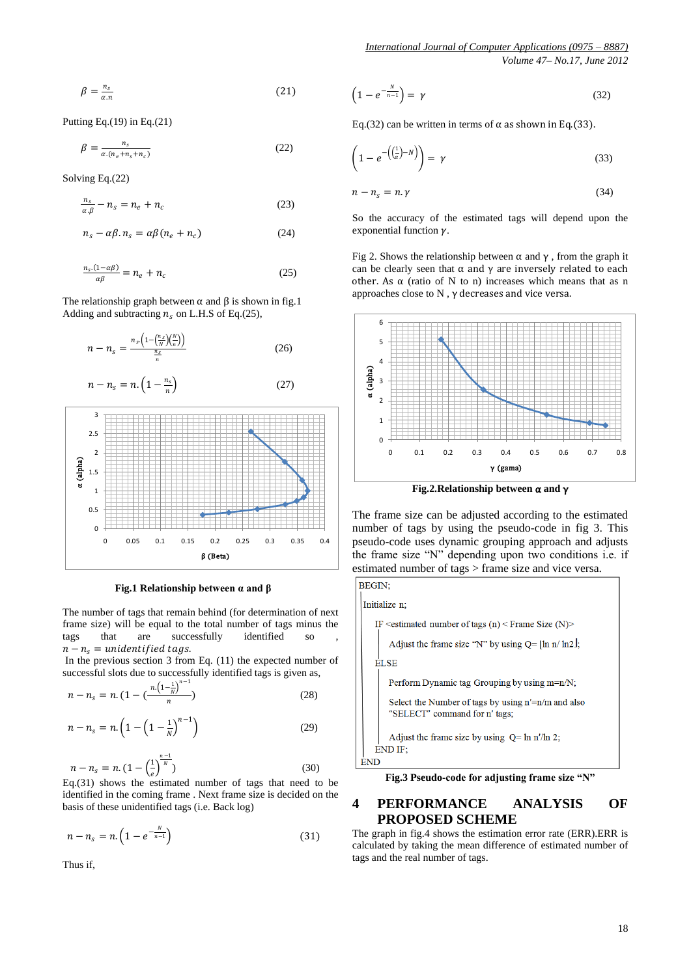$$
\beta = \frac{n_s}{\alpha n} \tag{21}
$$

Putting Eq. $(19)$  in Eq. $(21)$ 

$$
\beta = \frac{n_s}{\alpha (n_e + n_s + n_c)}\tag{22}
$$

Solving Eq.(22)

$$
\frac{n_s}{\alpha \beta} - n_s = n_e + n_c \tag{23}
$$

$$
n_s - \alpha \beta. n_s = \alpha \beta (n_e + n_c) \tag{24}
$$

$$
\frac{n_s(1-a\beta)}{a\beta} = n_e + n_c \tag{25}
$$

The relationship graph between  $\alpha$  and  $\beta$  is shown in fig.1 Adding and subtracting  $n_s$  on L.H.S of Eq.(25),



$$
n - n_s = n \cdot \left(1 - \frac{n_s}{n}\right) \tag{27}
$$



 **Fig.1 Relationship between α and β**

The number of tags that remain behind (for determination of next frame size) will be equal to the total number of tags minus the tags that are successfully identified so  $n - n_s =$  unidentified tags.

In the previous section 3 from Eq. (11) the expected number of successful slots due to successfully identified tags is given as,

$$
n - n_s = n. \left(1 - \left(\frac{n \left(1 - \frac{1}{N}\right)^{n-1}}{n}\right)\right) \tag{28}
$$

$$
n - n_s = n \left( 1 - \left( 1 - \frac{1}{N} \right)^{n-1} \right) \tag{29}
$$

$$
n - n_s = n. \left(1 - \left(\frac{1}{e}\right)^{\frac{n-1}{N}}\right) \tag{30}
$$

Eq.(31) shows the estimated number of tags that need to be identified in the coming frame . Next frame size is decided on the basis of these unidentified tags (i.e. Back log)

$$
n - n_s = n. \left( 1 - e^{-\frac{N}{n-1}} \right) \tag{31}
$$

Thus if,

$$
\left(1 - e^{-\frac{N}{n-1}}\right) = \gamma \tag{32}
$$

Eq.(32) can be written in terms of  $\alpha$  as shown in Eq.(33).

$$
\left(1 - e^{-\left(\frac{1}{\alpha} - N\right)}\right) = \gamma \tag{33}
$$

$$
n - n_s = n.\gamma \tag{34}
$$

So the accuracy of the estimated tags will depend upon the exponential function  $\gamma$ .

Fig 2. Shows the relationship between  $\alpha$  and  $\gamma$ , from the graph it can be clearly seen that  $\alpha$  and  $\gamma$  are inversely related to each other. As  $\alpha$  (ratio of N to n) increases which means that as n approaches close to N , γ decreases and vice versa.



**Fig.2.Relationship between** α **and** γ

The frame size can be adjusted according to the estimated number of tags by using the pseudo-code in fig 3. This pseudo-code uses dynamic grouping approach and adjusts the frame size "N" depending upon two conditions i.e. if estimated number of tags > frame size and vice versa.



# **4 PERFORMANCE ANALYSIS OF PROPOSED SCHEME**

The graph in fig.4 shows the estimation error rate (ERR).ERR is calculated by taking the mean difference of estimated number of tags and the real number of tags.